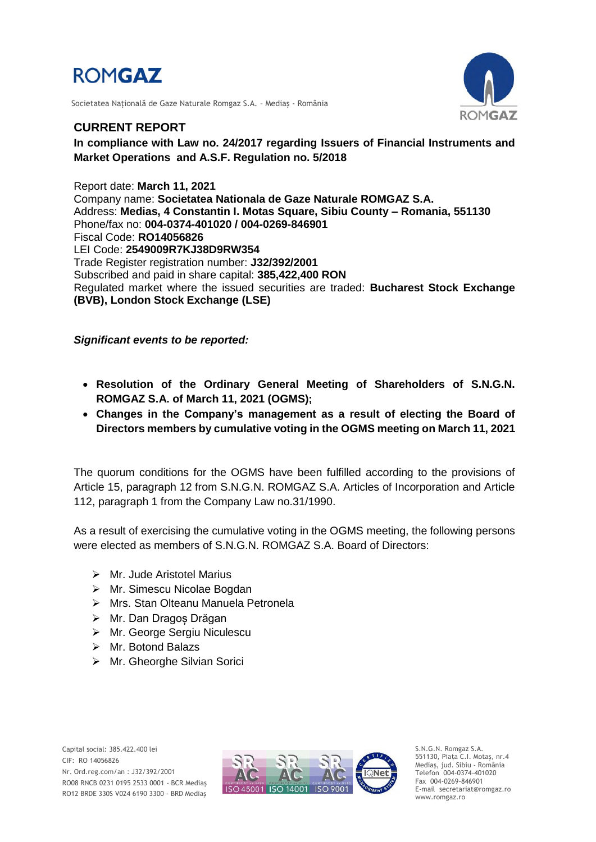

Societatea Naţională de Gaze Naturale Romgaz S.A. – Mediaş - România



### **CURRENT REPORT**

**In compliance with Law no. 24/2017 regarding Issuers of Financial Instruments and Market Operations and A.S.F. Regulation no. 5/2018**

Report date: **March 11, 2021** Company name: **Societatea Nationala de Gaze Naturale ROMGAZ S.A.** Address: **Medias, 4 Constantin I. Motas Square, Sibiu County – Romania, 551130** Phone/fax no: **004-0374-401020 / 004-0269-846901** Fiscal Code: **RO14056826** LEI Code: **2549009R7KJ38D9RW354** Trade Register registration number: **J32/392/2001** Subscribed and paid in share capital: **385,422,400 RON** Regulated market where the issued securities are traded: **Bucharest Stock Exchange (BVB), London Stock Exchange (LSE)**

*Significant events to be reported:*

- **Resolution of the Ordinary General Meeting of Shareholders of S.N.G.N. ROMGAZ S.A. of March 11, 2021 (OGMS);**
- **Changes in the Company's management as a result of electing the Board of Directors members by cumulative voting in the OGMS meeting on March 11, 2021**

The quorum conditions for the OGMS have been fulfilled according to the provisions of Article 15, paragraph 12 from S.N.G.N. ROMGAZ S.A. Articles of Incorporation and Article 112, paragraph 1 from the Company Law no.31/1990.

As a result of exercising the cumulative voting in the OGMS meeting, the following persons were elected as members of S.N.G.N. ROMGAZ S.A. Board of Directors:

- $\triangleright$  Mr. Jude Aristotel Marius
- Mr. Simescu Nicolae Bogdan
- Mrs. Stan Olteanu Manuela Petronela
- Mr. Dan Dragoș Drăgan
- Mr. George Sergiu Niculescu
- > Mr. Botond Balazs
- Mr. Gheorghe Silvian Sorici



S.N.G.N. Romgaz S.A. 551130, Piața C.I. Motaş, nr.4 Mediaş, jud. Sibiu - România Telefon 004-0374-401020 Fax 004-0269-846901 E-mail secretariat@romgaz.ro www.romgaz.ro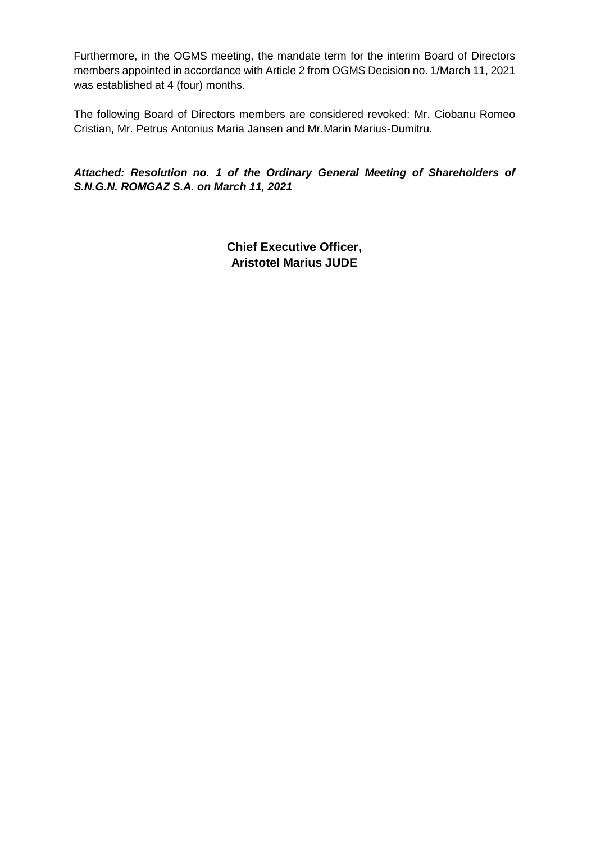Furthermore, in the OGMS meeting, the mandate term for the interim Board of Directors members appointed in accordance with Article 2 from OGMS Decision no. 1/March 11, 2021 was established at 4 (four) months.

The following Board of Directors members are considered revoked: Mr. Ciobanu Romeo Cristian, Mr. Petrus Antonius Maria Jansen and Mr.Marin Marius-Dumitru.

*Attached: Resolution no. 1 of the Ordinary General Meeting of Shareholders of S.N.G.N. ROMGAZ S.A. on March 11, 2021*

> **Chief Executive Officer, Aristotel Marius JUDE**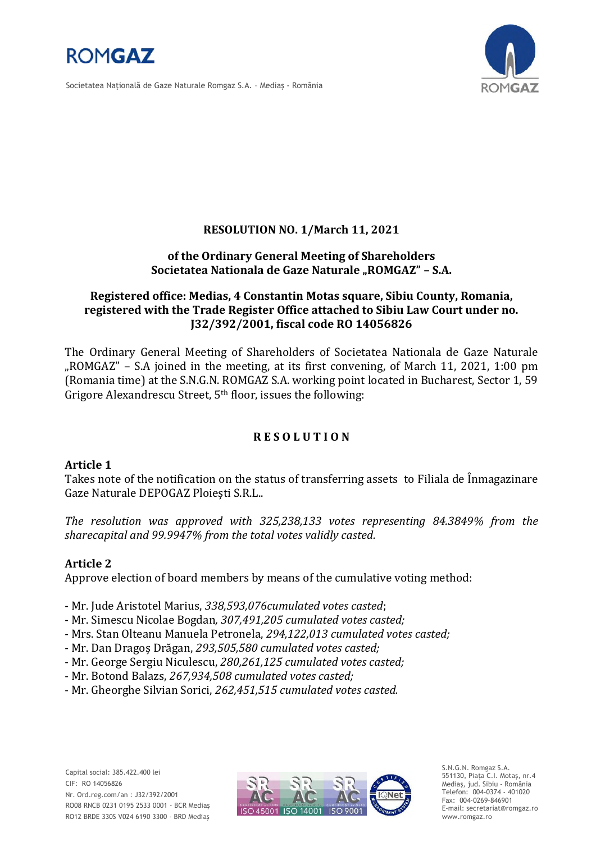

Societatea Naţională de Gaze Naturale Romgaz S.A. – Mediaş - România



## **RESOLUTION NO. 1/March 11, 2021**

### **of the Ordinary General Meeting of Shareholders Societatea Nationala de Gaze Naturale "ROMGAZ" – S.A.**

## **Registered office: Medias, 4 Constantin Motas square, Sibiu County, Romania, registered with the Trade Register Office attached to Sibiu Law Court under no. J32/392/2001, fiscal code RO 14056826**

The Ordinary General Meeting of Shareholders of Societatea Nationala de Gaze Naturale "ROMGAZ" – S.A joined in the meeting, at its first convening, of March 11, 2021, 1:00 pm (Romania time) at the S.N.G.N. ROMGAZ S.A. working point located in Bucharest, Sector 1, 59 Grigore Alexandrescu Street, 5th floor, issues the following:

# **R E S O L U T I O N**

## **Article 1**

Takes note of the notification on the status of transferring assets to Filiala de Înmagazinare Gaze Naturale DEPOGAZ Ploiești S.R.L..

*The resolution was approved with 325,238,133 votes representing 84.3849% from the sharecapital and 99.9947% from the total votes validly casted.*

## **Article 2**

Approve election of board members by means of the cumulative voting method:

- Mr. Jude Aristotel Marius, *338,593,076cumulated votes casted*;

- Mr. Simescu Nicolae Bogdan*, 307,491,205 cumulated votes casted;*
- Mrs. Stan Olteanu Manuela Petronela, *294,122,013 cumulated votes casted;*
- Mr. Dan Dragoș Drăgan, *293,505,580 cumulated votes casted;*
- Mr. George Sergiu Niculescu, *280,261,125 cumulated votes casted;*
- Mr. Botond Balazs, *267,934,508 cumulated votes casted;*
- Mr. Gheorghe Silvian Sorici, *262,451,515 cumulated votes casted.*



S.N.G.N. Romgaz S.A. 551130, Piața C.I. Motaş, nr.4 Mediaş, jud. Sibiu - România Telefon: 004-0374 - 401020 Fax: 004-0269-846901 E-mail: secretariat@romgaz.ro www.romgaz.ro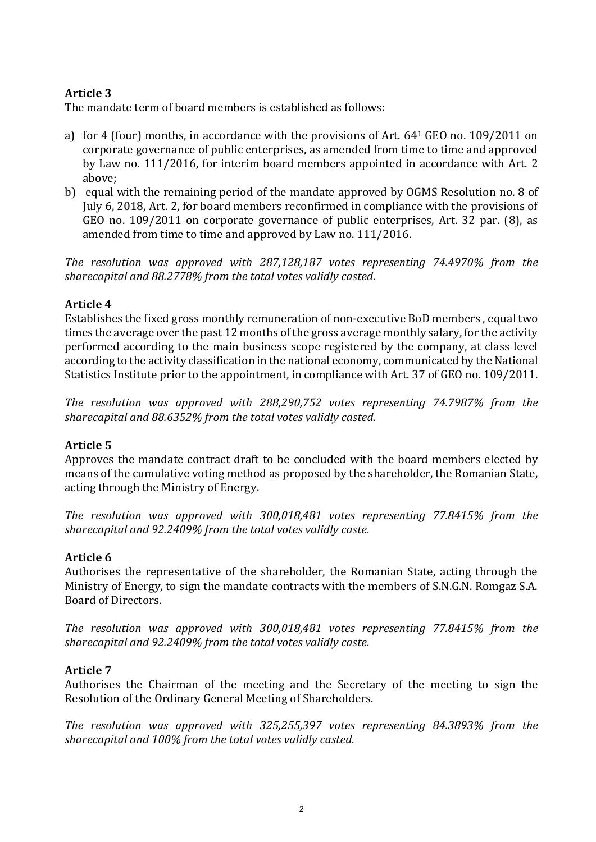# **Article 3**

The mandate term of board members is established as follows:

- a) for 4 (four) months, in accordance with the provisions of Art. 64<sup>1</sup> GEO no. 109/2011 on corporate governance of public enterprises, as amended from time to time and approved by Law no. 111/2016, for interim board members appointed in accordance with Art. 2 above;
- b) equal with the remaining period of the mandate approved by OGMS Resolution no. 8 of July 6, 2018, Art. 2, for board members reconfirmed in compliance with the provisions of GEO no. 109/2011 on corporate governance of public enterprises, Art. 32 par. (8), as amended from time to time and approved by Law no. 111/2016.

*The resolution was approved with 287,128,187 votes representing 74.4970% from the sharecapital and 88.2778% from the total votes validly casted.*

# **Article 4**

Establishes the fixed gross monthly remuneration of non-executive BoD members , equal two times the average over the past 12 months of the gross average monthly salary, for the activity performed according to the main business scope registered by the company, at class level according to the activity classification in the national economy, communicated by the National Statistics Institute prior to the appointment, in compliance with Art. 37 of GEO no. 109/2011.

*The resolution was approved with 288,290,752 votes representing 74.7987% from the sharecapital and 88.6352% from the total votes validly casted.*

# **Article 5**

Approves the mandate contract draft to be concluded with the board members elected by means of the cumulative voting method as proposed by the shareholder, the Romanian State, acting through the Ministry of Energy.

*The resolution was approved with 300,018,481 votes representing 77.8415% from the sharecapital and 92.2409% from the total votes validly caste.*

# **Article 6**

Authorises the representative of the shareholder, the Romanian State, acting through the Ministry of Energy, to sign the mandate contracts with the members of S.N.G.N. Romgaz S.A. Board of Directors.

*The resolution was approved with 300,018,481 votes representing 77.8415% from the sharecapital and 92.2409% from the total votes validly caste.*

# **Article 7**

Authorises the Chairman of the meeting and the Secretary of the meeting to sign the Resolution of the Ordinary General Meeting of Shareholders.

*The resolution was approved with 325,255,397 votes representing 84.3893% from the sharecapital and 100% from the total votes validly casted.*